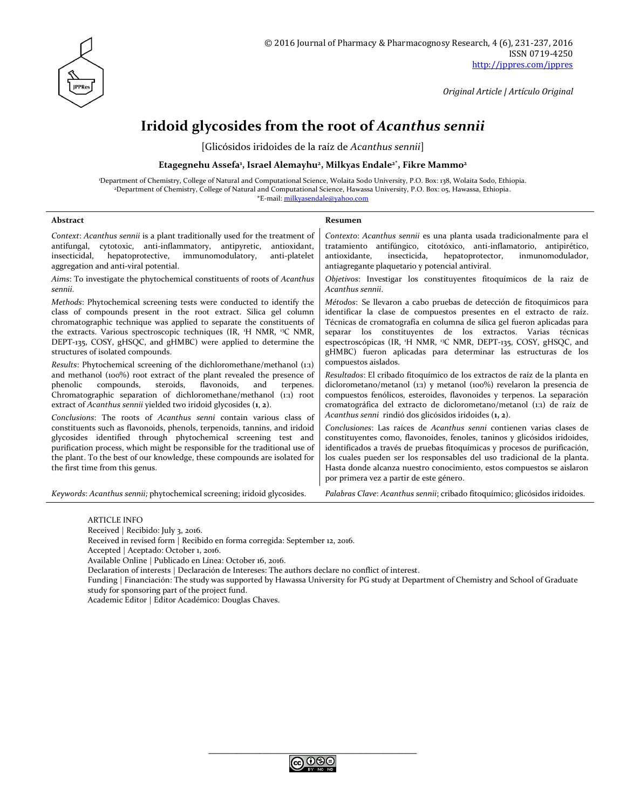

*Original Article | Artículo Original*

# **Iridoid glycosides from the root of** *Acanthus sennii*

[Glicósidos iridoides de la raíz de *Acanthus sennii*]

#### **Etagegnehu Assefa<sup>1</sup> , Israel Alemayhu<sup>2</sup> , Milkyas Endale2\*, Fikre Mammo<sup>2</sup>**

<sup>1</sup>Department of Chemistry, College of Natural and Computational Science, Wolaita Sodo University, P.O. Box: 138, Wolaita Sodo, Ethiopia. <sup>2</sup>Department of Chemistry, College of Natural and Computational Science, Hawassa University, P.O. Box: 05, Hawassa, Ethiopia. \*E-mail: [milkyasendale@yahoo.com](mailto:milkyasendale@yahoo.com)

| Abstract                                                                                                                                                                                                                                                                                                                                                                                                                                                                                                                                                                                                                                                                                                                                                                                                                                                                                                                                                                                                                                                                                                                                                                                                                   | Resumen                                                                                                                                                                                                                                                                                                                                                                                                                                                                                                                                                                                                                                                                                                                                                                                                                                                                                                                                                                                                                                                                                                                                                                                                                                                                                        |  |
|----------------------------------------------------------------------------------------------------------------------------------------------------------------------------------------------------------------------------------------------------------------------------------------------------------------------------------------------------------------------------------------------------------------------------------------------------------------------------------------------------------------------------------------------------------------------------------------------------------------------------------------------------------------------------------------------------------------------------------------------------------------------------------------------------------------------------------------------------------------------------------------------------------------------------------------------------------------------------------------------------------------------------------------------------------------------------------------------------------------------------------------------------------------------------------------------------------------------------|------------------------------------------------------------------------------------------------------------------------------------------------------------------------------------------------------------------------------------------------------------------------------------------------------------------------------------------------------------------------------------------------------------------------------------------------------------------------------------------------------------------------------------------------------------------------------------------------------------------------------------------------------------------------------------------------------------------------------------------------------------------------------------------------------------------------------------------------------------------------------------------------------------------------------------------------------------------------------------------------------------------------------------------------------------------------------------------------------------------------------------------------------------------------------------------------------------------------------------------------------------------------------------------------|--|
| Context: Acanthus sennii is a plant traditionally used for the treatment of<br>antifungal, cytotoxic, anti-inflammatory, antipyretic,<br>antioxidant,<br>insecticidal,<br>hepatoprotective, immunomodulatory,<br>anti-platelet<br>aggregation and anti-viral potential.                                                                                                                                                                                                                                                                                                                                                                                                                                                                                                                                                                                                                                                                                                                                                                                                                                                                                                                                                    | Contexto: Acanthus sennii es una planta usada tradicionalmente para el<br>tratamiento antifúngico, citotóxico, anti-inflamatorio, antipirético,<br>insecticida,<br>antioxidante,<br>hepatoprotector,<br>inmunomodulador,<br>antiagregante plaquetario y potencial antiviral.                                                                                                                                                                                                                                                                                                                                                                                                                                                                                                                                                                                                                                                                                                                                                                                                                                                                                                                                                                                                                   |  |
| Aims: To investigate the phytochemical constituents of roots of Acanthus<br>sennii.                                                                                                                                                                                                                                                                                                                                                                                                                                                                                                                                                                                                                                                                                                                                                                                                                                                                                                                                                                                                                                                                                                                                        | Objetivos: Investigar los constituyentes fitoquímicos de la raiz de<br>Acanthus sennii.                                                                                                                                                                                                                                                                                                                                                                                                                                                                                                                                                                                                                                                                                                                                                                                                                                                                                                                                                                                                                                                                                                                                                                                                        |  |
| Methods: Phytochemical screening tests were conducted to identify the<br>class of compounds present in the root extract. Silica gel column<br>chromatographic technique was applied to separate the constituents of<br>the extracts. Various spectroscopic techniques (IR, <sup>1</sup> H NMR, <sup>13</sup> C NMR,<br>DEPT-135, COSY, gHSQC, and gHMBC) were applied to determine the<br>structures of isolated compounds.<br>Results: Phytochemical screening of the dichloromethane/methanol (1:1)<br>and methanol (100%) root extract of the plant revealed the presence of<br>steroids,<br>flavonoids,<br>phenolic<br>compounds,<br>and<br>terpenes.<br>Chromatographic separation of dichloromethane/methanol (1:1) root<br>extract of Acanthus sennii yielded two iridoid glycosides $(1, 2)$ .<br>Conclusions: The roots of Acanthus senni contain various class of<br>constituents such as flavonoids, phenols, terpenoids, tannins, and iridoid<br>glycosides identified through phytochemical screening test and<br>purification process, which might be responsible for the traditional use of<br>the plant. To the best of our knowledge, these compounds are isolated for<br>the first time from this genus. | Métodos: Se llevaron a cabo pruebas de detección de fitoquímicos para<br>identificar la clase de compuestos presentes en el extracto de raíz.<br>Técnicas de cromatografía en columna de sílica gel fueron aplicadas para<br>separar los constituyentes de los extractos. Varias técnicas<br>espectroscópicas (IR, <sup>1</sup> H NMR, <sup>13</sup> C NMR, DEPT-135, COSY, gHSQC, and<br>gHMBC) fueron aplicadas para determinar las estructuras de los<br>compuestos aislados.<br>Resultados: El cribado fitoquímico de los extractos de raíz de la planta en<br>diclorometano/metanol (1:1) y metanol (100%) revelaron la presencia de<br>compuestos fenólicos, esteroides, flavonoides y terpenos. La separación<br>cromatográfica del extracto de diclorometano/metanol (1:1) de raíz de<br>Acanthus senni rindió dos glicósidos iridoides (1, 2).<br>Conclusiones: Las raíces de Acanthus senni contienen varias clases de<br>constituyentes como, flavonoides, fenoles, taninos y glicósidos iridoides,<br>identificados a través de pruebas fitoquímicas y procesos de purificación,<br>los cuales pueden ser los responsables del uso tradicional de la planta.<br>Hasta donde alcanza nuestro conocimiento, estos compuestos se aislaron<br>por primera vez a partir de este género. |  |
| Keywords: Acanthus sennii; phytochemical screening; iridoid glycosides.                                                                                                                                                                                                                                                                                                                                                                                                                                                                                                                                                                                                                                                                                                                                                                                                                                                                                                                                                                                                                                                                                                                                                    | Palabras Clave: Acanthus sennii; cribado fitoquímico; glicósidos iridoides.                                                                                                                                                                                                                                                                                                                                                                                                                                                                                                                                                                                                                                                                                                                                                                                                                                                                                                                                                                                                                                                                                                                                                                                                                    |  |

#### ARTICLE INFO

Received | Recibido: July 3, 2016.

Received in revised form | Recibido en forma corregida: September 12, 2016.

Accepted | Aceptado: October 1, 2016.

Available Online | Publicado en Línea: October 16, 2016.

Declaration of interests | Declaración de Intereses: The authors declare no conflict of interest.

Funding | Financiación: The study was supported by Hawassa University for PG study at Department of Chemistry and School of Graduate study for sponsoring part of the project fund.

Academic Editor | Editor Académico: Douglas Chaves.

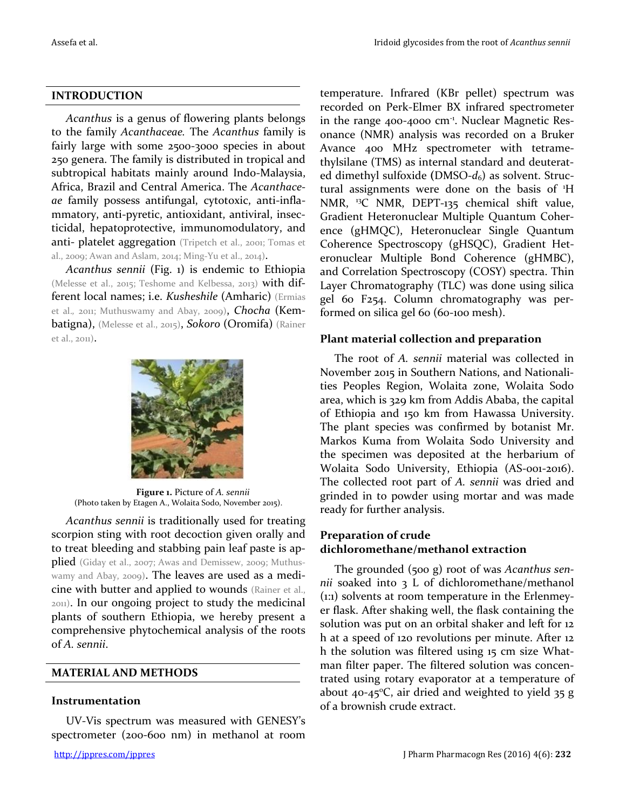### **INTRODUCTION**

*Acanthus* is a genus of flowering plants belongs to the family *Acanthaceae.* The *Acanthus* family is fairly large with some 2500-3000 species in about 250 genera. The family is distributed in tropical and subtropical habitats mainly around Indo-Malaysia, Africa, Brazil and Central America. The *Acanthaceae* family possess antifungal, cytotoxic, anti-inflammatory, anti-pyretic, antioxidant, antiviral, insecticidal, hepatoprotective, immunomodulatory, and anti- platelet aggregation (Tripetch et al., 2001; Tomas et al., 2009; Awan and Aslam, 2014; Ming-Yu et al., 2014).

*Acanthus sennii* (Fig. 1) is endemic to Ethiopia (Melesse et al., 2015; Teshome and Kelbessa, 2013) with different local names; i.e. *Kusheshile* (Amharic) (Ermias et al.*,* 2011; Muthuswamy and Abay, 2009), *Chocha* (Kembatigna), (Melesse et al., 2015), *Sokoro* (Oromifa) (Rainer et al., 2011).



**Figure 1.** Picture of *A. sennii* (Photo taken by Etagen A., Wolaita Sodo, November 2015).

*Acanthus sennii* is traditionally used for treating scorpion sting with root decoction given orally and to treat bleeding and stabbing pain leaf paste is applied (Giday et al., 2007; Awas and Demissew, 2009; Muthuswamy and Abay, 2009). The leaves are used as a medicine with butter and applied to wounds (Rainer et al., 2011). In our ongoing project to study the medicinal plants of southern Ethiopia, we hereby present a comprehensive phytochemical analysis of the roots of *A. sennii*.

### **MATERIAL AND METHODS**

### **Instrumentation**

UV-Vis spectrum was measured with GENESY's spectrometer (200-600 nm) in methanol at room

temperature. Infrared (KBr pellet) spectrum was recorded on Perk-Elmer BX infrared spectrometer in the range 400-4000 cm<sup>-1</sup>. Nuclear Magnetic Resonance (NMR) analysis was recorded on a Bruker Avance 400 MHz spectrometer with tetramethylsilane (TMS) as internal standard and deuterated dimethyl sulfoxide **(**DMSO-*d*6) as solvent. Structural assignments were done on the basis of <sup>1</sup>H NMR, <sup>13</sup>C NMR, DEPT-135 chemical shift value, Gradient Heteronuclear Multiple Quantum Coherence (gHMQC), Heteronuclear Single Quantum Coherence Spectroscopy (gHSQC), Gradient Heteronuclear Multiple Bond Coherence (gHMBC), and Correlation Spectroscopy (COSY) spectra. Thin Layer Chromatography (TLC) was done using silica gel 60 F254. Column chromatography was performed on silica gel 60 (60-100 mesh).

### **Plant material collection and preparation**

The root of *A. sennii* material was collected in November 2015 in Southern Nations, and Nationalities Peoples Region, Wolaita zone, Wolaita Sodo area, which is 329 km from Addis Ababa, the capital of Ethiopia and 150 km from Hawassa University. The plant species was confirmed by botanist Mr. Markos Kuma from Wolaita Sodo University and the specimen was deposited at the herbarium of Wolaita Sodo University, Ethiopia (AS-001-2016). The collected root part of *A. sennii* was dried and grinded in to powder using mortar and was made ready for further analysis.

# **Preparation of crude dichloromethane/methanol extraction**

The grounded (500 g) root of was *Acanthus sennii* soaked into 3 L of dichloromethane/methanol (1:1) solvents at room temperature in the Erlenmeyer flask. After shaking well, the flask containing the solution was put on an orbital shaker and left for 12 h at a speed of 120 revolutions per minute. After 12 h the solution was filtered using 15 cm size Whatman filter paper. The filtered solution was concentrated using rotary evaporator at a temperature of about 40-45°C, air dried and weighted to yield 35 g of a brownish crude extract.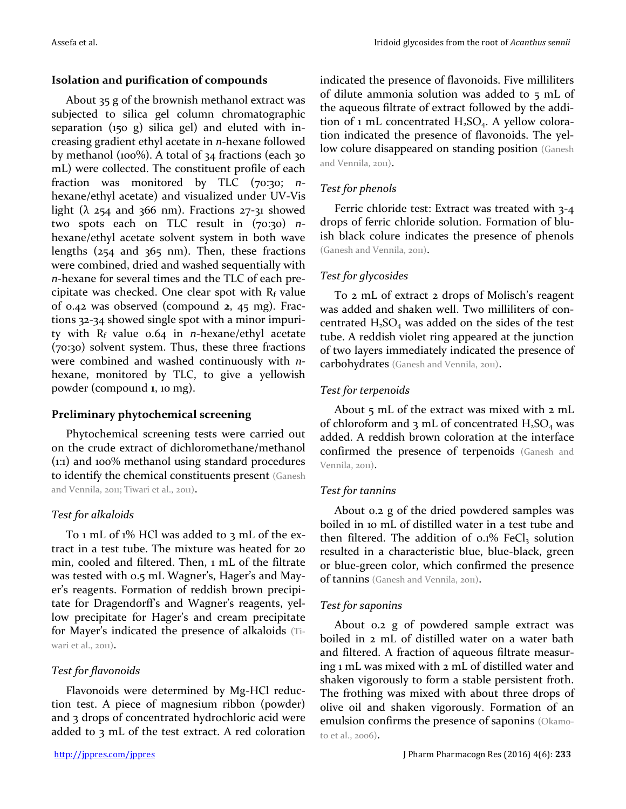## **Isolation and purification of compounds**

About 35 g of the brownish methanol extract was subjected to silica gel column chromatographic separation (150 g) silica gel) and eluted with increasing gradient ethyl acetate in *n*-hexane followed by methanol (100%). A total of 34 fractions (each 30 mL) were collected. The constituent profile of each fraction was monitored by TLC (70:30; *n*hexane/ethyl acetate) and visualized under UV-Vis light ( $\lambda$  254 and 366 nm). Fractions 27-31 showed two spots each on TLC result in (70:30) *n*hexane/ethyl acetate solvent system in both wave lengths (254 and 365 nm). Then, these fractions were combined, dried and washed sequentially with *n-*hexane for several times and the TLC of each precipitate was checked. One clear spot with  $R_f$  value of 0.42 was observed (compound **2**, 45 mg). Fractions 32-34 showed single spot with a minor impurity with R<sup>f</sup> value 0.64 in *n*-hexane/ethyl acetate (70:30) solvent system. Thus, these three fractions were combined and washed continuously with *n*hexane, monitored by TLC, to give a yellowish powder (compound **1**, 10 mg).

# **Preliminary phytochemical screening**

Phytochemical screening tests were carried out on the crude extract of dichloromethane/methanol (1:1) and 100% methanol using standard procedures to identify the chemical constituents present (Ganesh and Vennila, 2011; Tiwari et al., 2011).

# *Test for alkaloids*

To 1 mL of 1% HCl was added to 3 mL of the extract in a test tube. The mixture was heated for 20 min, cooled and filtered. Then, 1 mL of the filtrate was tested with 0.5 mL Wagner's, Hager's and Mayer's reagents. Formation of reddish brown precipitate for Dragendorff's and Wagner's reagents, yellow precipitate for Hager's and cream precipitate for Mayer's indicated the presence of alkaloids (Tiwari et al., 2011).

# *Test for flavonoids*

Flavonoids were determined by Mg-HCl reduction test. A piece of magnesium ribbon (powder) and 3 drops of concentrated hydrochloric acid were added to 3 mL of the test extract. A red coloration indicated the presence of flavonoids. Five milliliters of dilute ammonia solution was added to 5 mL of the aqueous filtrate of extract followed by the addition of 1 mL concentrated  $H_2SO_4$ . A yellow coloration indicated the presence of flavonoids. The yellow colure disappeared on standing position (Ganesh) and Vennila, 2011).

# *Test for phenols*

Ferric chloride test: Extract was treated with 3-4 drops of ferric chloride solution. Formation of bluish black colure indicates the presence of phenols (Ganesh and Vennila, 2011).

# *Test for glycosides*

To 2 mL of extract 2 drops of Molisch's reagent was added and shaken well. Two milliliters of concentrated  $H_2SO_4$  was added on the sides of the test tube. A reddish violet ring appeared at the junction of two layers immediately indicated the presence of carbohydrates (Ganesh and Vennila, 2011).

# *Test for terpenoids*

About 5 mL of the extract was mixed with 2 mL of chloroform and 3 mL of concentrated  $H_2SO_4$  was added. A reddish brown coloration at the interface confirmed the presence of terpenoids (Ganesh and Vennila, 2011).

# *Test for tannins*

About 0.2 g of the dried powdered samples was boiled in 10 mL of distilled water in a test tube and then filtered. The addition of  $0.1\%$  FeCl<sub>3</sub> solution resulted in a characteristic blue, blue-black, green or blue-green color, which confirmed the presence of tannins (Ganesh and Vennila, 2011).

### *Test for saponins*

About 0.2 g of powdered sample extract was boiled in 2 mL of distilled water on a water bath and filtered. A fraction of aqueous filtrate measuring 1 mL was mixed with 2 mL of distilled water and shaken vigorously to form a stable persistent froth. The frothing was mixed with about three drops of olive oil and shaken vigorously. Formation of an emulsion confirms the presence of saponins (Okamoto et al., 2006).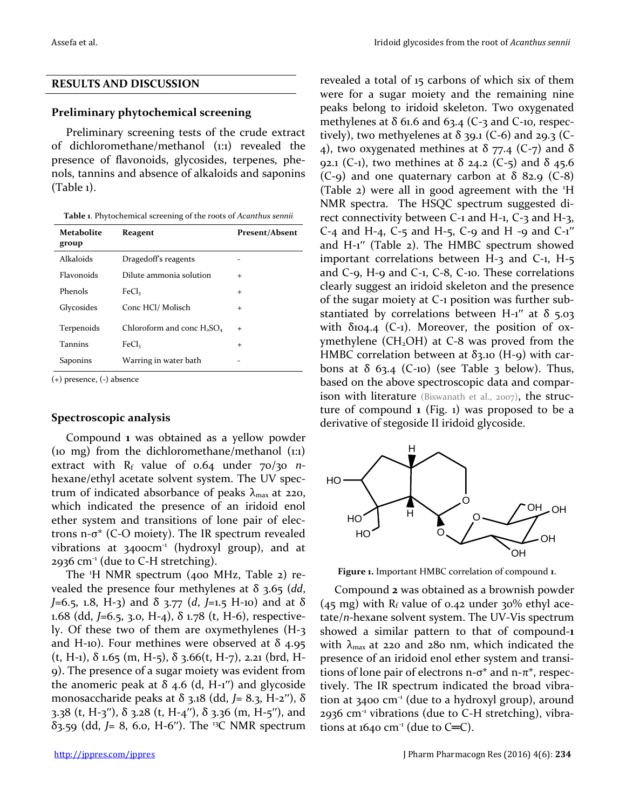### **RESULTS AND DISCUSSION**

#### **Preliminary phytochemical screening**

Preliminary screening tests of the crude extract of dichloromethane/methanol (1:1) revealed the presence of flavonoids, glycosides, terpenes, phenols, tannins and absence of alkaloids and saponins (Table 1).

**Table 1**. Phytochemical screening of the roots of *Acanthus sennii*

| <b>Metabolite</b><br>group | Reagent                       | <b>Present/Absent</b> |
|----------------------------|-------------------------------|-----------------------|
| Alkaloids                  | Dragedoff's reagents          |                       |
| Flavonoids                 | Dilute ammonia solution       | $\div$                |
| Phenols                    | FeC <sub>l</sub>              | $\ddot{}$             |
| Glycosides                 | Conc HCl/ Molisch             | $\ddot{}$             |
| Terpenoids                 | Chloroform and conc $H_2SO_4$ | $\div$                |
| <b>Tannins</b>             | FeC <sub>l</sub>              | $\ddot{}$             |
| Saponins                   | Warring in water bath         |                       |

(+) presence, (-) absence

#### **Spectroscopic analysis**

Compound **1** was obtained as a yellow powder (10 mg) from the dichloromethane/methanol (1:1) extract with R<sub>f</sub> value of 0.64 under 70/30 *n*hexane/ethyl acetate solvent system. The UV spectrum of indicated absorbance of peaks  $\lambda_{\text{max}}$  at 220, which indicated the presence of an iridoid enol ether system and transitions of lone pair of electrons n- $\sigma^*$  (C-O moiety). The IR spectrum revealed vibrations at 3400cm<sup>-1</sup> (hydroxyl group), and at 2936  $cm<sup>-1</sup>$  (due to C-H stretching).

The <sup>1</sup>H NMR spectrum (400 MHz, Table 2) revealed the presence four methylenes at  $\delta$  3.65 (*dd*, *J*=6.5, 1.8, H-3) and δ 3.77 (*d*, *J*=1.5 H-10) and at δ 1.68 (dd, *J*=6.5, 3.0, H-4), δ 1.78 (t, H-6), respectively. Of these two of them are oxymethylenes (H-3 and H-10). Four methines were observed at  $\delta$  4.95 (t, H-1),  $\delta$  1.65 (m, H-5),  $\delta$  3.66(t, H-7), 2.21 (brd, H-9). The presence of a sugar moiety was evident from the anomeric peak at  $\delta$  4.6 (d, H-1") and glycoside monosaccharide peaks at δ 3.18 (dd, *J*= 8.3, H-2′′), δ 3.38 (t, H-3''),  $\delta$  3.28 (t, H-4''),  $\delta$  3.36 (m, H-5''), and δ3.59 (dd, *J*= 8, 6.0, H-6′′). The <sup>13</sup>C NMR spectrum revealed a total of 15 carbons of which six of them were for a sugar moiety and the remaining nine peaks belong to iridoid skeleton. Two oxygenated methylenes at  $\delta$  61.6 and 63.4 (C-3 and C-10, respectively), two methyelenes at  $\delta$  39.1 (C-6) and 29.3 (C-4), two oxygenated methines at  $\delta$  77.4 (C-7) and  $\delta$ 92.1 (C-1), two methines at δ 24.2 (C-5) and δ 45.6 (C-9) and one quaternary carbon at  $\delta$  82.9 (C-8) (Table 2) were all in good agreement with the <sup>1</sup>H NMR spectra. The HSQC spectrum suggested direct connectivity between C-1 and H-1, C-3 and H-3,  $C$ -4 and H-4,  $C$ -5 and H-5,  $C$ -9 and H -9 and  $C$ -1" and H-1′′ (Table 2). The HMBC spectrum showed important correlations between H-3 and C-1, H-5 and C-9, H-9 and C-1, C-8, C-10. These correlations clearly suggest an iridoid skeleton and the presence of the sugar moiety at C-1 position was further substantiated by correlations between H-1" at  $\delta$  5.03 with  $\delta$ 104.4 (C-1). Moreover, the position of oxymethylene  $(CH_2OH)$  at C-8 was proved from the HMBC correlation between at  $\delta$ 3.10 (H-9) with carbons at  $\delta$  63.4 (C-10) (see Table 3 below). Thus, based on the above spectroscopic data and comparison with literature (Biswanath et al., 2007), the structure of compound **1** (Fig. 1) was proposed to be a derivative of stegoside II iridoid glycoside.



**Figure 1.** Important HMBC correlation of compound **1**.

Compound **2** was obtained as a brownish powder  $(45 \text{ mg})$  with R<sub>f</sub> value of 0.42 under 30% ethyl acetate/*n-*hexane solvent system. The UV-Vis spectrum showed a similar pattern to that of compound-**1** with  $\lambda_{\text{max}}$  at 220 and 280 nm, which indicated the presence of an iridoid enol ether system and transitions of lone pair of electrons n- $\sigma^*$  and n- $\pi^*$ , respectively. The IR spectrum indicated the broad vibration at 3400 cm<sup>-1</sup> (due to a hydroxyl group), around  $2936$  cm<sup>-1</sup> vibrations (due to C-H stretching), vibrations at  $1640 \text{ cm}^{-1}$  (due to C=C).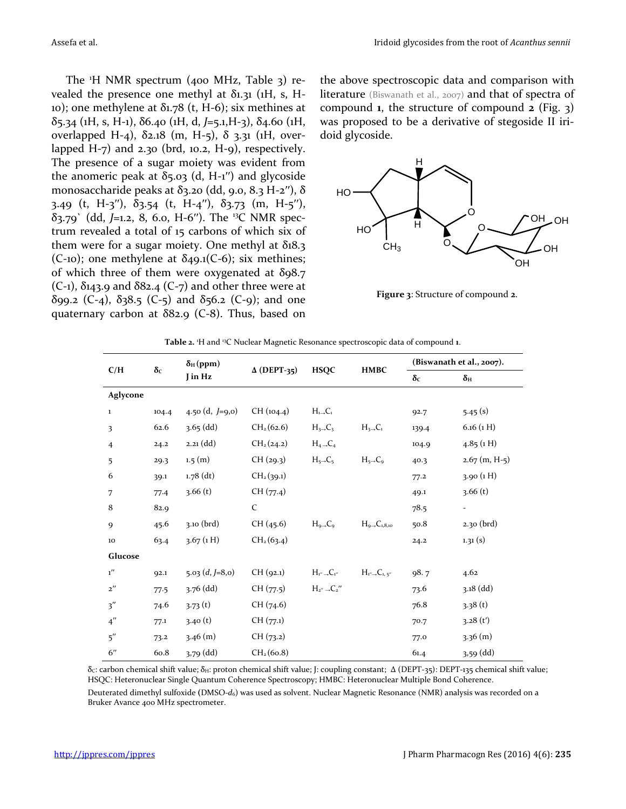The  $H$  NMR spectrum (400 MHz, Table 3) revealed the presence one methyl at  $\delta$ 1.31 (1H, s, H-10); one methylene at  $\delta$ 1.78 (t, H-6); six methines at δ5.34 (1H, s, H-1), δ6.40 (1H, d, *J*=5.1,H-3), δ4.60 (1H, overlapped H-4), δ2.18 (m, H-5), δ 3.31 (1H, overlapped H-7) and  $2.30$  (brd,  $10.2$ , H-9), respectively. The presence of a sugar moiety was evident from the anomeric peak at  $δ_5.03$  (d, H-1'') and glycoside monosaccharide peaks at δ3.20 (dd, 9.0, 8.3 H-2''), δ 3.49 (t, H-3''),  $\delta$ 3.54 (t, H-4''),  $\delta$ 3.73 (m, H-5''), δ3.79` (dd, *J*=1.2, 8, 6.0, H-6′′). The <sup>13</sup>C NMR spectrum revealed a total of 15 carbons of which six of them were for a sugar moiety. One methyl at  $\delta_1 8.3$ (C-10); one methylene at  $\delta$ 49.1(C-6); six methines; of which three of them were oxygenated at  $\delta$ 98.7  $(C-1)$ ,  $\delta$ 143.9 and  $\delta$ 82.4  $(C-7)$  and other three were at δ99.2 (C-4), δ38.5 (C-5) and δ56.2 (C-9); and one quaternary carbon at  $\delta$ 82.9 (C-8). Thus, based on the above spectroscopic data and comparison with literature (Biswanath et al., 2007) and that of spectra of compound **1**, the structure of compound **2** (Fig. 3) was proposed to be a derivative of stegoside II iridoid glycoside.



**Figure 3**: Structure of compound **2**.

|                             | $\delta_H(ppm)$                                                           |                     |                        |                                                                    | (Biswanath et al., 2007).                 |       |                 |
|-----------------------------|---------------------------------------------------------------------------|---------------------|------------------------|--------------------------------------------------------------------|-------------------------------------------|-------|-----------------|
| C/H                         | $\delta c$<br>$\Delta$ (DEPT-35)<br><b>HSQC</b><br><b>HMBC</b><br>J in Hz |                     | $\delta_{\rm C}$       | $\delta_{\rm H}$                                                   |                                           |       |                 |
| Aglycone                    |                                                                           |                     |                        |                                                                    |                                           |       |                 |
| $\mathbf{1}$                | 104.4                                                                     | 4.50 (d, $J=9,0$ )  | CH (104.4)             | $H_{1\rightarrow}C_1$                                              |                                           | 92.7  | 5.45(s)         |
| 3                           | 62.6                                                                      | $3.65$ (dd)         | CH <sub>2</sub> (62.6) | $H_3 \rightarrow C_3$                                              | $H_{3\rightarrow}C_1$                     | 139.4 | $6.16$ (1 H)    |
| $\overline{4}$              | 24.2                                                                      | $2.21$ (dd)         | CH <sub>2</sub> (24.2) | $H_4 \rightarrow C_4$                                              |                                           | 104.9 | 4.85(1)         |
| 5                           | 29.3                                                                      | 1.5(m)              | CH (29.3)              | $H_{5\rightarrow}C_{5}$                                            | $H_{5\rightarrow}C_{9}$                   | 40.3  | $2.67$ (m, H-5) |
| 6                           | 39.1                                                                      | $1.78$ (dt)         | CH <sub>2</sub> (39.1) |                                                                    |                                           | 77.2  | 3.90 (1H)       |
| 7                           | 77.4                                                                      | 3.66(t)             | CH (77.4)              |                                                                    |                                           | 49.1  | 3.66(t)         |
| 8                           | 82.9                                                                      |                     | $\mathsf{C}$           |                                                                    |                                           | 78.5  |                 |
| 9                           | 45.6                                                                      | $3.10$ (brd)        | CH(45.6)               | $H_{9\rightarrow}C_9$                                              | $H_{\alpha}$ <sub>C<sub>18,10</sub></sub> | 50.8  | 2.30 (brd)      |
| 10                          | 63.4                                                                      | 3.67(1H)            | CH <sub>2</sub> (63.4) |                                                                    |                                           | 24.2  | 1.31(s)         |
| Glucose                     |                                                                           |                     |                        |                                                                    |                                           |       |                 |
| $1^{\prime\prime}$          | 92.1                                                                      | $5.03$ $(d, J=8.0)$ | CH (92.1)              | $H_{1''}\rightarrow C_{1''}$                                       | $H_{1''}\rightarrow C_{1,5''}$            | 98.7  | 4.62            |
| $\mathbf{2}^{\prime\prime}$ | 77.5                                                                      | $3.76$ (dd)         | CH (77.5)              | $H_{z''}\,\rule{1pt}{.3pt}\rule{.3pt}{7pt}\rule{.3pt}{7pt}\,C_z''$ |                                           | 73.6  | $3.18$ (dd)     |
| 3''                         | 74.6                                                                      | 3.73(t)             | CH(74.6)               |                                                                    |                                           | 76.8  | 3.38(t)         |
| 4''                         | 77.1                                                                      | 3.40(t)             | CH (77.1)              |                                                                    |                                           | 70.7  | 3.28(t')        |
| 5''                         | 73.2                                                                      | $3.46$ (m)          | CH (73.2)              |                                                                    |                                           | 77.0  | 3.36(m)         |
| 6"                          | 60.8                                                                      | 3,79 (dd)           | CH <sub>2</sub> (60.8) |                                                                    |                                           | 61.4  | 3,59 (dd)       |

**Table 2.** <sup>1</sup>H and <sup>13</sup>C Nuclear Magnetic Resonance spectroscopic data of compound **1**.

δc: carbon chemical shift value; δ<sub>H</sub>: proton chemical shift value; J: coupling constant; Δ (DEPT-35): DEPT-135 chemical shift value; HSQC: Heteronuclear Single Quantum Coherence Spectroscopy; HMBC: Heteronuclear Multiple Bond Coherence.

Deuterated dimethyl sulfoxide **(**DMSO-*d*6) was used as solvent. Nuclear Magnetic Resonance (NMR) analysis was recorded on a Bruker Avance 400 MHz spectrometer.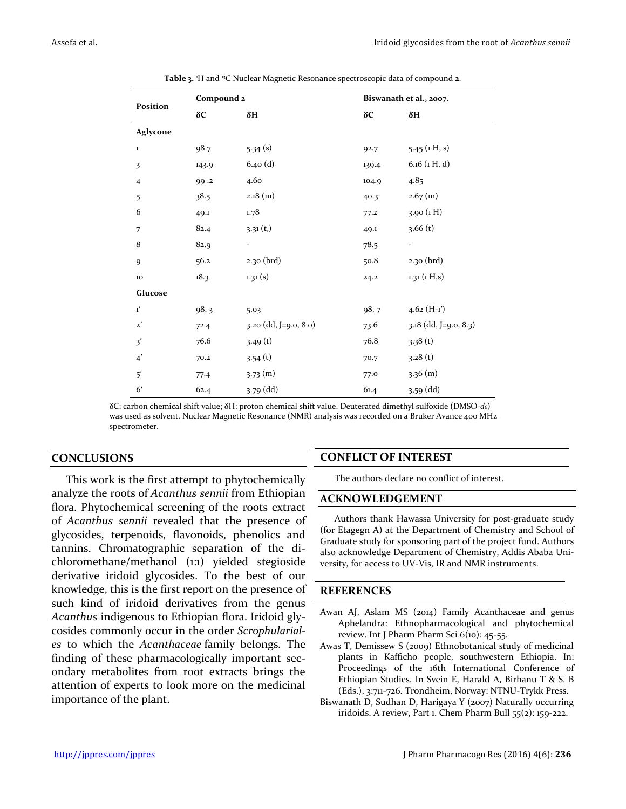| Position              | Compound 2 |                          |       | Biswanath et al., 2007. |  |  |
|-----------------------|------------|--------------------------|-------|-------------------------|--|--|
|                       | $\delta C$ | $\delta H$               | δC    | $\delta H$              |  |  |
| Aglycone              |            |                          |       |                         |  |  |
| $\mathbf 1$           | 98.7       | 5.34(s)                  | 92.7  | $5.45$ (1 H, s)         |  |  |
| 3                     | 143.9      | 6.40(d)                  | 139.4 | $6.16$ (1 H, d)         |  |  |
| $\overline{4}$        | 99.2       | 4.60                     | 104.9 | 4.85                    |  |  |
| 5                     | 38.5       | $2.18$ (m)               | 40.3  | 2.67(m)                 |  |  |
| 6                     | 49.1       | 1.78                     | 77.2  | 3.90(1H)                |  |  |
| 7                     | 82.4       | 3.31(t,)                 | 49.1  | 3.66(t)                 |  |  |
| $\bf 8$               | 82.9       | $\overline{\phantom{a}}$ | 78.5  |                         |  |  |
| 9                     | 56.2       | 2.30 (brd)               | 50.8  | 2.30 (brd)              |  |  |
| 10                    | 18.3       | 1.31(s)                  | 24.2  | 1.31(1H,s)              |  |  |
| Glucose               |            |                          |       |                         |  |  |
| $\mathbf{1}^{\prime}$ | 98.3       | 5.03                     | 98.7  | $4.62(H-1')$            |  |  |
| $\mathbf{2}^{\prime}$ | 72.4       | 3.20 (dd, J=9.0, 8.0)    | 73.6  | 3.18 (dd, J=9.0, 8.3)   |  |  |
| 3'                    | 76.6       | 3.49(t)                  | 76.8  | 3.38(t)                 |  |  |
| $\boldsymbol{4}'$     | 70.2       | 3.54(t)                  | 70.7  | 3.28(t)                 |  |  |
| 5'                    | 77.4       | 3.73(m)                  | 77.0  | $3.36$ (m)              |  |  |
| 6'                    | 62.4       | 3.79 (dd)                | 61.4  | 3,59 (dd)               |  |  |

**Table 3.** <sup>1</sup>H and <sup>13</sup>C Nuclear Magnetic Resonance spectroscopic data of compound **2**.

δC: carbon chemical shift value; δH: proton chemical shift value. Deuterated dimethyl sulfoxide **(**DMSO-*d*6) was used as solvent. Nuclear Magnetic Resonance (NMR) analysis was recorded on a Bruker Avance 400 MHz spectrometer.

### **CONCLUSIONS**

This work is the first attempt to phytochemically analyze the roots of *Acanthus sennii* from Ethiopian flora. Phytochemical screening of the roots extract of *Acanthus sennii* revealed that the presence of glycosides, terpenoids, flavonoids, phenolics and tannins. Chromatographic separation of the dichloromethane/methanol (1:1) yielded stegioside derivative iridoid glycosides. To the best of our knowledge, this is the first report on the presence of such kind of iridoid derivatives from the genus *Acanthus* indigenous to Ethiopian flora. Iridoid glycosides commonly occur in the order *Scrophulariales* to which the *Acanthaceae* family belongs. The finding of these pharmacologically important secondary metabolites from root extracts brings the attention of experts to look more on the medicinal importance of the plant.

### **CONFLICT OF INTEREST**

The authors declare no conflict of interest.

#### **ACKNOWLEDGEMENT**

Authors thank Hawassa University for post-graduate study (for Etagegn A) at the Department of Chemistry and School of Graduate study for sponsoring part of the project fund. Authors also acknowledge Department of Chemistry, Addis Ababa University, for access to UV-Vis, IR and NMR instruments.

#### **REFERENCES**

- Awan AJ, Aslam MS (2014) Family Acanthaceae and genus Aphelandra: Ethnopharmacological and phytochemical review. Int J Pharm Pharm Sci 6(10): 45-55.
- Awas T, Demissew S (2009) Ethnobotanical study of medicinal plants in Kafficho people, southwestern Ethiopia. In: Proceedings of the 16th International Conference of Ethiopian Studies. In Svein E, Harald A, Birhanu T & S. B (Eds.), 3:711-726. Trondheim, Norway: NTNU-Trykk Press.
- Biswanath D, Sudhan D, Harigaya Y (2007) Naturally occurring iridoids. A review, Part 1. Chem Pharm Bull 55(2): 159-222.